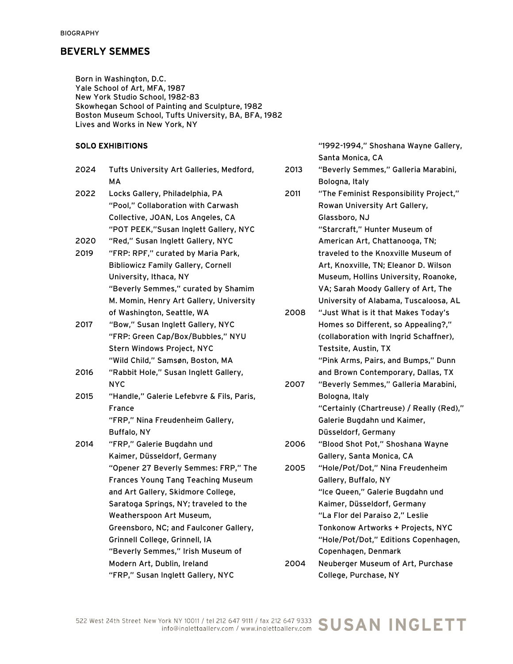Born in Washington, D.C. Yale School of Art, MFA, 1987 New York Studio School, 1982-83 Skowhegan School of Painting and Sculpture, 1982 Boston Museum School, Tufts University, BA, BFA, 1982 Lives and Works in New York, NY

#### SOLO EXHIBITIONS

| 2024 | Tufts University Art Galleries, Medford,<br>MА   |
|------|--------------------------------------------------|
| 2022 | Locks Gallery, Philadelphia, PA                  |
|      | "Pool," Collaboration with Carwash               |
|      | Collective, JOAN, Los Angeles, CA                |
|      | "POT PEEK,"Susan Inglett Gallery, NYC            |
| 2020 | "Red," Susan Inglett Gallery, NYC                |
| 2019 | "FRP: RPF," curated by Maria Park,               |
|      | <b>Bibliowicz Family Gallery, Cornell</b>        |
|      | University, Ithaca, NY                           |
|      | "Beverly Semmes," curated by Shamim              |
|      | M. Momin, Henry Art Gallery, University          |
|      | of Washington, Seattle, WA                       |
| 2017 | "Bow," Susan Inglett Gallery, NYC                |
|      | "FRP: Green Cap/Box/Bubbles," NYU                |
|      | Stern Windows Project, NYC                       |
|      | "Wild Child," Samsøn, Boston, MA                 |
| 2016 | "Rabbit Hole," Susan Inglett Gallery,            |
| 2015 | NYC<br>"Handle," Galerie Lefebvre & Fils, Paris, |
|      | France                                           |
|      | "FRP," Nina Freudenheim Gallery,                 |
|      | <b>Buffalo, NY</b>                               |
| 2014 | "FRP," Galerie Bugdahn und                       |
|      | Kaimer, Düsseldorf, Germany                      |
|      | "Opener 27 Beverly Semmes: FRP," The             |
|      | <b>Frances Young Tang Teaching Museum</b>        |
|      | and Art Gallery, Skidmore College,               |
|      | Saratoga Springs, NY; traveled to the            |
|      | Weatherspoon Art Museum,                         |
|      | Greensboro, NC; and Faulconer Gallery,           |
|      | Grinnell College, Grinnell, IA                   |
|      | "Beverly Semmes," Irish Museum of                |
|      | Modern Art, Dublin, Ireland                      |
|      | "FRP." Susan Inglett Gallery, NYC                |

"1992-1994," Shoshana Wayne Gallery, Santa Monica, CA

- 2013 "Beverly Semmes," Galleria Marabini, Bologna, Italy
- 2011 "The Feminist Responsibility Project," Rowan University Art Gallery, Glassboro, NJ

"Starcraft," Hunter Museum of American Art, Chattanooga, TN; traveled to the Knoxville Museum of Art, Knoxville, TN; Eleanor D. Wilson Museum, Hollins University, Roanoke, VA; Sarah Moody Gallery of Art, The University of Alabama, Tuscaloosa, AL

- 2008 "Just What is it that Makes Today's Homes so Different, so Appealing?," (collaboration with Ingrid Schaffner), Testsite, Austin, TX "Pink Arms, Pairs, and Bumps," Dunn
- and Brown Contemporary, Dallas, TX 2007 "Beverly Semmes," Galleria Marabini, Bologna, Italy "Certainly (Chartreuse) / Really (Red)," Galerie Bugdahn und Kaimer, Düsseldorf, Germany
- 2006 "Blood Shot Pot," Shoshana Wayne Gallery, Santa Monica, CA
- 2005 "Hole/Pot/Dot," Nina Freudenheim Gallery, Buffalo, NY "Ice Queen," Galerie Bugdahn und Kaimer, Düsseldorf, Germany "La Flor del Paraiso 2," Leslie Tonkonow Artworks + Projects, NYC "Hole/Pot/Dot," Editions Copenhagen, Copenhagen, Denmark
- 2004 Neuberger Museum of Art, Purchase College, Purchase, NY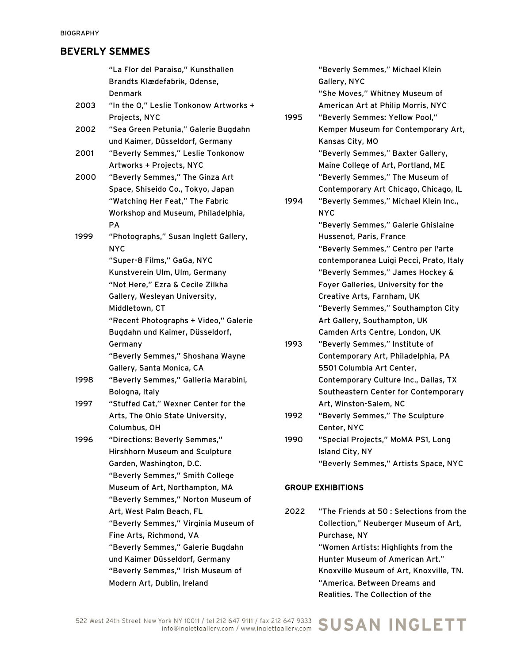|      | "La Flor del Paraiso," Kunsthallen     |      |
|------|----------------------------------------|------|
|      | Brandts Klædefabrik, Odense,           |      |
|      | Denmark                                |      |
| 2003 | "In the O," Leslie Tonkonow Artworks + |      |
|      | Projects, NYC                          | 1995 |
| 2002 | "Sea Green Petunia," Galerie Bugdahn   |      |
|      | und Kaimer, Düsseldorf, Germany        |      |
| 2001 | "Beverly Semmes," Leslie Tonkonow      |      |
|      | Artworks + Projects, NYC               |      |
| 2000 | "Beverly Semmes," The Ginza Art        |      |
|      | Space, Shiseido Co., Tokyo, Japan      |      |
|      | "Watching Her Feat," The Fabric        | 1994 |
|      | Workshop and Museum, Philadelphia,     |      |
|      | PА                                     |      |
| 1999 | "Photographs," Susan Inglett Gallery,  |      |
|      | <b>NYC</b>                             |      |
|      | "Super-8 Films," GaGa, NYC             |      |
|      | Kunstverein Ulm, Ulm, Germany          |      |
|      | "Not Here," Ezra & Cecile Zilkha       |      |
|      | Gallery, Wesleyan University,          |      |
|      | Middletown, CT                         |      |
|      | "Recent Photographs + Video," Galerie  |      |
|      | Bugdahn und Kaimer, Düsseldorf,        |      |
|      | Germany                                | 1993 |
|      | "Beverly Semmes," Shoshana Wayne       |      |
|      | Gallery, Santa Monica, CA              |      |
| 1998 | "Beverly Semmes," Galleria Marabini,   |      |
|      | Bologna, Italy                         |      |
| 1997 | "Stuffed Cat," Wexner Center for the   |      |
|      | Arts, The Ohio State University,       | 1992 |
|      | Columbus, OH                           |      |
| 1996 | "Directions: Beverly Semmes,"          | 1990 |
|      | Hirshhorn Museum and Sculpture         |      |
|      | Garden, Washington, D.C.               |      |
|      | "Beverly Semmes," Smith College        |      |
|      | Museum of Art, Northampton, MA         | GROU |
|      | "Beverly Semmes," Norton Museum of     |      |
|      | Art, West Palm Beach, FL               | 2022 |
|      | "Beverly Semmes," Virginia Museum of   |      |
|      | Fine Arts, Richmond, VA                |      |
|      | "Beverly Semmes," Galerie Bugdahn      |      |
|      | und Kaimer Düsseldorf, Germany         |      |
|      | "Beverly Semmes," Irish Museum of      |      |
|      | Modern Art, Dublin, Ireland            |      |

"Beverly Semmes," Michael Klein Gallery, NYC

"She Moves," Whitney Museum of American Art at Philip Morris, NYC

"Beverly Semmes: Yellow Pool," Kemper Museum for Contemporary Art, Kansas City, MO "Beverly Semmes," Baxter Gallery, Maine College of Art, Portland, ME "Beverly Semmes," The Museum of Contemporary Art Chicago, Chicago, IL

"Beverly Semmes," Michael Klein Inc., NYC

"Beverly Semmes," Galerie Ghislaine Hussenot, Paris, France "Beverly Semmes," Centro per l'arte contemporanea Luigi Pecci, Prato, Italy "Beverly Semmes," James Hockey & Foyer Galleries, University for the Creative Arts, Farnham, UK "Beverly Semmes," Southampton City Art Gallery, Southampton, UK Camden Arts Centre, London, UK

- "Beverly Semmes," Institute of Contemporary Art, Philadelphia, PA 5501 Columbia Art Center, Contemporary Culture Inc., Dallas, TX Southeastern Center for Contemporary Art, Winston-Salem, NC
- "Beverly Semmes," The Sculpture Center, NYC
- "Special Projects," MoMA PS1, Long Island City, NY "Beverly Semmes," Artists Space, NYC

#### **P EXHIBITIONS**

"The Friends at 50 : Selections from the Collection," Neuberger Museum of Art, Purchase, NY "Women Artists: Highlights from the Hunter Museum of American Art." Knoxville Museum of Art, Knoxville, TN. "America. Between Dreams and Realities. The Collection of the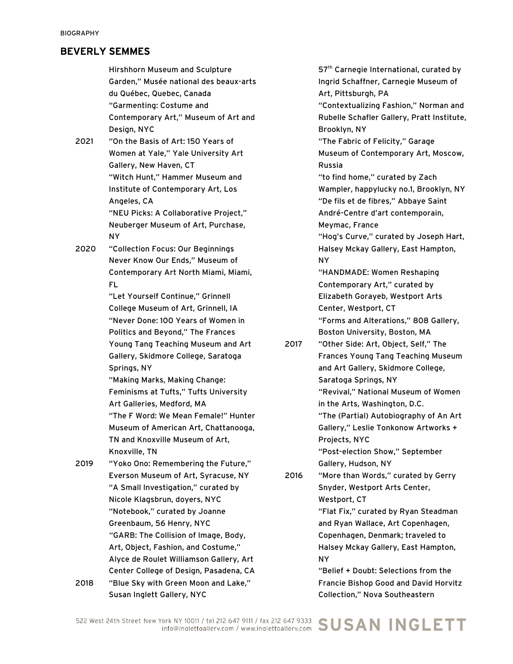Hirshhorn Museum and Sculpture Garden," Musée national des beaux-arts du Québec, Quebec, Canada "Garmenting: Costume and Contemporary Art," Museum of Art and Design, NYC

- 2021 "On the Basis of Art: 150 Years of Women at Yale," Yale University Art Gallery, New Haven, CT "Witch Hunt," Hammer Museum and Institute of Contemporary Art, Los Angeles, CA "NEU Picks: A Collaborative Project," Neuberger Museum of Art, Purchase, NY
- 2020 "Collection Focus: Our Beginnings Never Know Our Ends," Museum of Contemporary Art North Miami, Miami, FL

"Let Yourself Continue," Grinnell College Museum of Art, Grinnell, IA "Never Done: 100 Years of Women in Politics and Beyond," The Frances Young Tang Teaching Museum and Art Gallery, Skidmore College, Saratoga Springs, NY

"Making Marks, Making Change: Feminisms at Tufts," Tufts University Art Galleries, Medford, MA "The F Word: We Mean Female!" Hunter Museum of American Art, Chattanooga, TN and Knoxville Museum of Art, Knoxville, TN

- 2019 "Yoko Ono: Remembering the Future," Everson Museum of Art, Syracuse, NY "A Small Investigation," curated by Nicole Klagsbrun, doyers, NYC "Notebook," curated by Joanne Greenbaum, 56 Henry, NYC "GARB: The Collision of Image, Body, Art, Object, Fashion, and Costume," Alyce de Roulet Williamson Gallery, Art Center College of Design, Pasadena, CA
- 2018 "Blue Sky with Green Moon and Lake," Susan Inglett Gallery, NYC

57<sup>th</sup> Carnegie International, curated by Ingrid Schaffner, Carnegie Museum of Art, Pittsburgh, PA "Contextualizing Fashion," Norman and Rubelle Schafler Gallery, Pratt Institute, Brooklyn, NY "The Fabric of Felicity," Garage Museum of Contemporary Art, Moscow, Russia "to find home," curated by Zach Wampler, happylucky no.1, Brooklyn, NY "De fils et de fibres," Abbaye Saint André-Centre d'art contemporain, Meymac, France "Hog's Curve," curated by Joseph Hart, Halsey Mckay Gallery, East Hampton, NY "HANDMADE: Women Reshaping Contemporary Art," curated by Elizabeth Gorayeb, Westport Arts Center, Westport, CT "Forms and Alterations," 808 Gallery, Boston University, Boston, MA

2017 "Other Side: Art, Object, Self," The Frances Young Tang Teaching Museum and Art Gallery, Skidmore College, Saratoga Springs, NY "Revival," National Museum of Women in the Arts, Washington, D.C. "The (Partial) Autobiography of An Art Gallery," Leslie Tonkonow Artworks + Projects, NYC "Post-election Show," September

Gallery, Hudson, NY

2016 "More than Words," curated by Gerry Snyder, Westport Arts Center, Westport, CT "Flat Fix," curated by Ryan Steadman and Ryan Wallace, Art Copenhagen, Copenhagen, Denmark; traveled to Halsey Mckay Gallery, East Hampton, NY

> "Belief + Doubt: Selections from the Francie Bishop Good and David Horvitz Collection," Nova Southeastern

#### /ork NY 10011 / tel 212 647 9111 / fax 212 647 9333 SUSAN INGLETT 522 West 24th Street New York NY 10011 / tel 212 647 9111 / fax 212 647 9333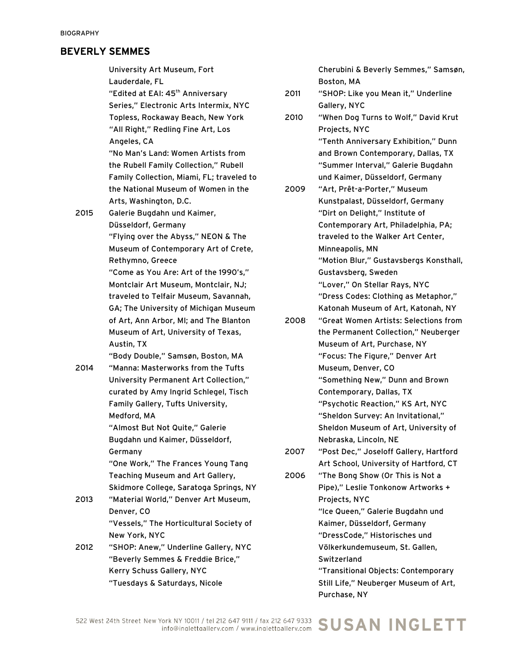University Art Museum, Fort Lauderdale, FL "Edited at EAI: 45<sup>th</sup> Anniversary Series," Electronic Arts Intermix, NYC Topless, Rockaway Beach, New York "All Right," Redling Fine Art, Los Angeles, CA "No Man's Land: Women Artists from the Rubell Family Collection," Rubell Family Collection, Miami, FL; traveled to the National Museum of Women in the Arts, Washington, D.C. 2015 Galerie Bugdahn und Kaimer, Düsseldorf, Germany "Flying over the Abyss," NEON & The Museum of Contemporary Art of Crete, Rethymno, Greece "Come as You Are: Art of the 1990's," Montclair Art Museum, Montclair, NJ; traveled to Telfair Museum, Savannah, GA; The University of Michigan Museum of Art, Ann Arbor, MI; and The Blanton Museum of Art, University of Texas, Austin, TX "Body Double," Samsøn, Boston, MA 2014 "Manna: Masterworks from the Tufts University Permanent Art Collection," curated by Amy Ingrid Schlegel, Tisch Family Gallery, Tufts University, Medford, MA "Almost But Not Quite," Galerie Bugdahn und Kaimer, Düsseldorf, Germany "One Work," The Frances Young Tang Teaching Museum and Art Gallery, Skidmore College, Saratoga Springs, NY 2013 "Material World," Denver Art Museum, Denver, CO "Vessels," The Horticultural Society of New York, NYC 2012 "SHOP: Anew," Underline Gallery, NYC "Beverly Semmes & Freddie Brice," Kerry Schuss Gallery, NYC

"Tuesdays & Saturdays, Nicole

Cherubini & Beverly Semmes," Samsøn, Boston, MA

- 2011 "SHOP: Like you Mean it," Underline Gallery, NYC
- 2010 "When Dog Turns to Wolf," David Krut Projects, NYC "Tenth Anniversary Exhibition," Dunn and Brown Contemporary, Dallas, TX "Summer Interval," Galerie Bugdahn und Kaimer, Düsseldorf, Germany
- 2009 "Art, Prêt-a-Porter," Museum Kunstpalast, Düsseldorf, Germany "Dirt on Delight," Institute of Contemporary Art, Philadelphia, PA; traveled to the Walker Art Center, Minneapolis, MN "Motion Blur," Gustavsbergs Konsthall, Gustavsberg, Sweden "Lover," On Stellar Rays, NYC "Dress Codes: Clothing as Metaphor," Katonah Museum of Art, Katonah, NY
- 2008 "Great Women Artists: Selections from the Permanent Collection," Neuberger Museum of Art, Purchase, NY "Focus: The Figure," Denver Art Museum, Denver, CO "Something New," Dunn and Brown Contemporary, Dallas, TX "Psychotic Reaction," KS Art, NYC "Sheldon Survey: An Invitational," Sheldon Museum of Art, University of Nebraska, Lincoln, NE
- 2007 "Post Dec," Joseloff Gallery, Hartford Art School, University of Hartford, CT
- 2006 "The Bong Show (Or This is Not a Pipe)," Leslie Tonkonow Artworks + Projects, NYC "Ice Queen," Galerie Bugdahn und Kaimer, Düsseldorf, Germany "DressCode," Historisches und Völkerkundemuseum, St. Gallen, **Switzerland** "Transitional Objects: Contemporary Still Life," Neuberger Museum of Art, Purchase, NY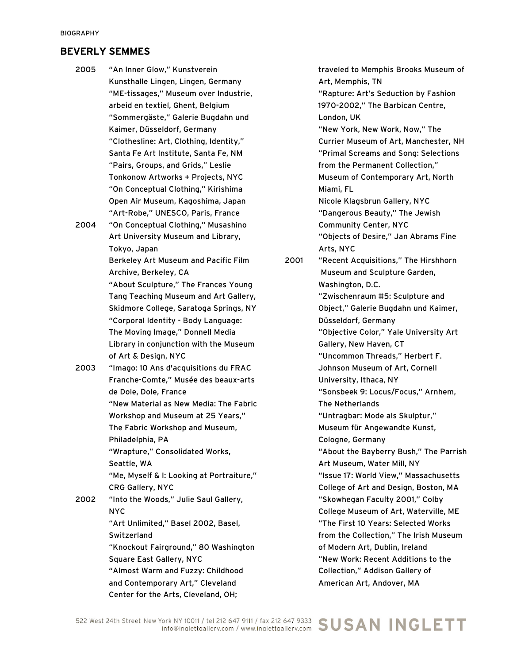- 2005 "An Inner Glow," Kunstverein Kunsthalle Lingen, Lingen, Germany "ME-tissages," Museum over Industrie, arbeid en textiel, Ghent, Belgium "Sommergäste," Galerie Bugdahn und Kaimer, Düsseldorf, Germany "Clothesline: Art, Clothing, Identity," Santa Fe Art Institute, Santa Fe, NM "Pairs, Groups, and Grids," Leslie Tonkonow Artworks + Projects, NYC "On Conceptual Clothing," Kirishima Open Air Museum, Kagoshima, Japan "Art-Robe," UNESCO, Paris, France
- 2004 "On Conceptual Clothing," Musashino Art University Museum and Library, Tokyo, Japan Berkeley Art Museum and Pacific Film

Archive, Berkeley, CA "About Sculpture," The Frances Young Tang Teaching Museum and Art Gallery, Skidmore College, Saratoga Springs, NY "Corporal Identity - Body Language: The Moving Image," Donnell Media Library in conjunction with the Museum of Art & Design, NYC

2003 "Imago: 10 Ans d'acquisitions du FRAC Franche-Comte," Musée des beaux-arts de Dole, Dole, France "New Material as New Media: The Fabric Workshop and Museum at 25 Years," The Fabric Workshop and Museum, Philadelphia, PA "Wrapture," Consolidated Works, Seattle, WA "Me, Myself & I: Looking at Portraiture," CRG Gallery, NYC

2002 "Into the Woods," Julie Saul Gallery, NYC "Art Unlimited," Basel 2002, Basel, **Switzerland** "Knockout Fairground," 80 Washington

> Square East Gallery, NYC "Almost Warm and Fuzzy: Childhood and Contemporary Art," Cleveland Center for the Arts, Cleveland, OH;

traveled to Memphis Brooks Museum of Art, Memphis, TN "Rapture: Art's Seduction by Fashion 1970-2002," The Barbican Centre, London, UK "New York, New Work, Now," The Currier Museum of Art, Manchester, NH "Primal Screams and Song: Selections from the Permanent Collection," Museum of Contemporary Art, North Miami, FL Nicole Klagsbrun Gallery, NYC "Dangerous Beauty," The Jewish Community Center, NYC "Objects of Desire," Jan Abrams Fine Arts, NYC 2001 "Recent Acquisitions," The Hirshhorn Museum and Sculpture Garden, Washington, D.C. "Zwischenraum #5: Sculpture and Object," Galerie Bugdahn und Kaimer, Düsseldorf, Germany "Objective Color," Yale University Art Gallery, New Haven, CT "Uncommon Threads," Herbert F. Johnson Museum of Art, Cornell University, Ithaca, NY "Sonsbeek 9: Locus/Focus," Arnhem, The Netherlands "Untragbar: Mode als Skulptur," Museum für Angewandte Kunst, Cologne, Germany "About the Bayberry Bush," The Parrish Art Museum, Water Mill, NY "Issue 17: World View," Massachusetts College of Art and Design, Boston, MA "Skowhegan Faculty 2001," Colby College Museum of Art, Waterville, ME "The First 10 Years: Selected Works from the Collection," The Irish Museum of Modern Art, Dublin, Ireland "New Work: Recent Additions to the Collection," Addison Gallery of American Art, Andover, MA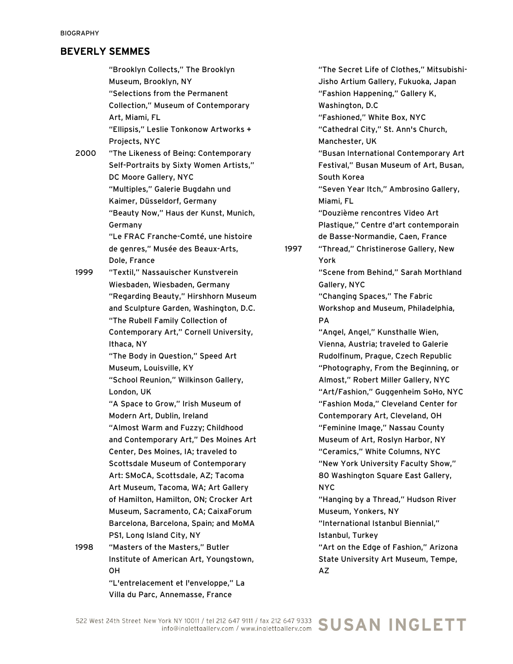"Brooklyn Collects," The Brooklyn Museum, Brooklyn, NY "Selections from the Permanent Collection," Museum of Contemporary Art, Miami, FL "Ellipsis," Leslie Tonkonow Artworks + Projects, NYC

2000 "The Likeness of Being: Contemporary Self-Portraits by Sixty Women Artists," DC Moore Gallery, NYC "Multiples," Galerie Bugdahn und Kaimer, Düsseldorf, Germany "Beauty Now," Haus der Kunst, Munich, Germany "Le FRAC Franche-Comté, une histoire

de genres," Musée des Beaux-Arts, Dole, France

1999 "Textil," Nassauischer Kunstverein Wiesbaden, Wiesbaden, Germany "Regarding Beauty," Hirshhorn Museum and Sculpture Garden, Washington, D.C. "The Rubell Family Collection of Contemporary Art," Cornell University, Ithaca, NY

> "The Body in Question," Speed Art Museum, Louisville, KY

> "School Reunion," Wilkinson Gallery, London, UK

"A Space to Grow," Irish Museum of Modern Art, Dublin, Ireland "Almost Warm and Fuzzy; Childhood and Contemporary Art," Des Moines Art Center, Des Moines, IA; traveled to Scottsdale Museum of Contemporary Art: SMoCA, Scottsdale, AZ; Tacoma Art Museum, Tacoma, WA; Art Gallery of Hamilton, Hamilton, ON; Crocker Art Museum, Sacramento, CA; CaixaForum Barcelona, Barcelona, Spain; and MoMA PS1, Long Island City, NY

1998 "Masters of the Masters," Butler Institute of American Art, Youngstown, OH

"L'entrelacement et l'enveloppe," La Villa du Parc, Annemasse, France

"The Secret Life of Clothes," Mitsubishi-Jisho Artium Gallery, Fukuoka, Japan "Fashion Happening," Gallery K, Washington, D.C "Fashioned," White Box, NYC "Cathedral City," St. Ann's Church, Manchester, UK "Busan International Contemporary Art Festival," Busan Museum of Art, Busan, South Korea "Seven Year Itch," Ambrosino Gallery, Miami, FL "Douzième rencontres Video Art Plastique," Centre d'art contemporain de Basse-Normandie, Caen, France 1997 "Thread," Christinerose Gallery, New York "Scene from Behind," Sarah Morthland Gallery, NYC "Changing Spaces," The Fabric Workshop and Museum, Philadelphia, PA "Angel, Angel," Kunsthalle Wien, Vienna, Austria; traveled to Galerie Rudolfinum, Prague, Czech Republic "Photography, From the Beginning, or Almost," Robert Miller Gallery, NYC "Art/Fashion," Guggenheim SoHo, NYC "Fashion Moda," Cleveland Center for Contemporary Art, Cleveland, OH "Feminine Image," Nassau County Museum of Art, Roslyn Harbor, NY

> "Ceramics," White Columns, NYC "New York University Faculty Show," 80 Washington Square East Gallery, NYC

> "Hanging by a Thread," Hudson River Museum, Yonkers, NY

"International Istanbul Biennial," Istanbul, Turkey

"Art on the Edge of Fashion," Arizona State University Art Museum, Tempe, AZ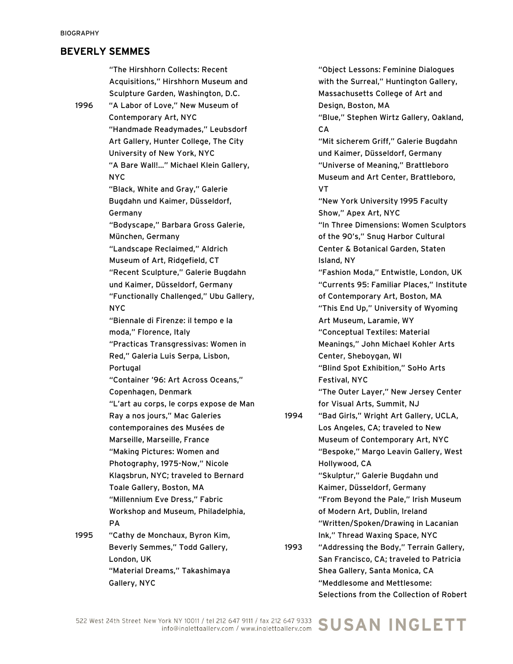"The Hirshhorn Collects: Recent Acquisitions," Hirshhorn Museum and Sculpture Garden, Washington, D.C. 1996 "A Labor of Love," New Museum of Contemporary Art, NYC "Handmade Readymades," Leubsdorf Art Gallery, Hunter College, The City University of New York, NYC "A Bare Wall!..." Michael Klein Gallery, NYC "Black, White and Gray," Galerie Bugdahn und Kaimer, Düsseldorf, Germany "Bodyscape," Barbara Gross Galerie, München, Germany "Landscape Reclaimed," Aldrich Museum of Art, Ridgefield, CT "Recent Sculpture," Galerie Bugdahn und Kaimer, Düsseldorf, Germany "Functionally Challenged," Ubu Gallery, NYC "Biennale di Firenze: il tempo e la moda," Florence, Italy "Practicas Transgressivas: Women in Red," Galeria Luis Serpa, Lisbon, **Portugal** "Container '96: Art Across Oceans," Copenhagen, Denmark "L'art au corps, le corps expose de Man Ray a nos jours," Mac Galeries contemporaines des Musées de Marseille, Marseille, France "Making Pictures: Women and Photography, 1975-Now," Nicole Klagsbrun, NYC; traveled to Bernard Toale Gallery, Boston, MA "Millennium Eve Dress," Fabric Workshop and Museum, Philadelphia, PA 1995 "Cathy de Monchaux, Byron Kim, Beverly Semmes," Todd Gallery, London, UK

"Material Dreams," Takashimaya

Gallery, NYC

"Object Lessons: Feminine Dialogues with the Surreal," Huntington Gallery, Massachusetts College of Art and Design, Boston, MA "Blue," Stephen Wirtz Gallery, Oakland, **CA** "Mit sicherem Griff," Galerie Bugdahn und Kaimer, Düsseldorf, Germany "Universe of Meaning," Brattleboro Museum and Art Center, Brattleboro, VT "New York University 1995 Faculty Show," Apex Art, NYC "In Three Dimensions: Women Sculptors of the 90's," Snug Harbor Cultural Center & Botanical Garden, Staten Island, NY "Fashion Moda," Entwistle, London, UK "Currents 95: Familiar Places," Institute of Contemporary Art, Boston, MA "This End Up," University of Wyoming Art Museum, Laramie, WY "Conceptual Textiles: Material Meanings," John Michael Kohler Arts Center, Sheboygan, WI "Blind Spot Exhibition," SoHo Arts Festival, NYC "The Outer Layer," New Jersey Center for Visual Arts, Summit, NJ 1994 "Bad Girls," Wright Art Gallery, UCLA, Los Angeles, CA; traveled to New Museum of Contemporary Art, NYC "Bespoke," Margo Leavin Gallery, West Hollywood, CA "Skulptur," Galerie Bugdahn und Kaimer, Düsseldorf, Germany "From Beyond the Pale," Irish Museum of Modern Art, Dublin, Ireland "Written/Spoken/Drawing in Lacanian Ink," Thread Waxing Space, NYC 1993 "Addressing the Body," Terrain Gallery,

San Francisco, CA; traveled to Patricia Shea Gallery, Santa Monica, CA "Meddlesome and Mettlesome: Selections from the Collection of Robert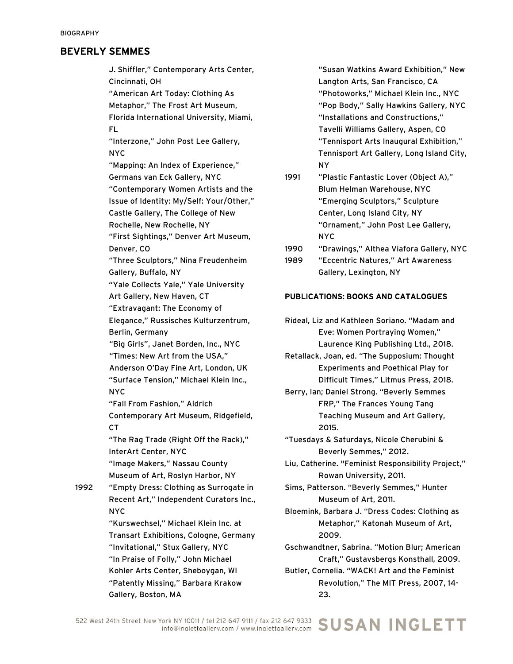J. Shiffler," Contemporary Arts Center, Cincinnati, OH

"American Art Today: Clothing As Metaphor," The Frost Art Museum, Florida International University, Miami, FL

"Interzone," John Post Lee Gallery, NYC

"Mapping: An Index of Experience," Germans van Eck Gallery, NYC "Contemporary Women Artists and the Issue of Identity: My/Self: Your/Other," Castle Gallery, The College of New Rochelle, New Rochelle, NY "First Sightings," Denver Art Museum,

Denver, CO

"Three Sculptors," Nina Freudenheim Gallery, Buffalo, NY

"Yale Collects Yale," Yale University Art Gallery, New Haven, CT

"Extravagant: The Economy of Elegance," Russisches Kulturzentrum,

Berlin, Germany

"Big Girls", Janet Borden, Inc., NYC "Times: New Art from the USA,"

Anderson O'Day Fine Art, London, UK "Surface Tension," Michael Klein Inc., NYC

"Fall From Fashion," Aldrich Contemporary Art Museum, Ridgefield, **CT** 

"The Rag Trade (Right Off the Rack)," InterArt Center, NYC "Image Makers," Nassau County

Museum of Art, Roslyn Harbor, NY 1992 "Empty Dress: Clothing as Surrogate in Recent Art," Independent Curators Inc.,

> NYC "Kurswechsel," Michael Klein Inc. at Transart Exhibitions, Cologne, Germany "Invitational," Stux Gallery, NYC "In Praise of Folly," John Michael Kohler Arts Center, Sheboygan, WI "Patently Missing," Barbara Krakow Gallery, Boston, MA

"Susan Watkins Award Exhibition," New Langton Arts, San Francisco, CA "Photoworks," Michael Klein Inc., NYC "Pop Body," Sally Hawkins Gallery, NYC "Installations and Constructions," Tavelli Williams Gallery, Aspen, CO "Tennisport Arts Inaugural Exhibition," Tennisport Art Gallery, Long Island City, NY

1991 "Plastic Fantastic Lover (Object A)," Blum Helman Warehouse, NYC "Emerging Sculptors," Sculpture Center, Long Island City, NY "Ornament," John Post Lee Gallery, NYC

1990 "Drawings," Althea Viafora Gallery, NYC

1989 "Eccentric Natures," Art Awareness Gallery, Lexington, NY

#### PUBLICATIONS: BOOKS AND CATALOGUES

Rideal, Liz and Kathleen Soriano. "Madam and Eve: Women Portraying Women," Laurence King Publishing Ltd., 2018.

Retallack, Joan, ed. "The Supposium: Thought Experiments and Poethical Play for Difficult Times," Litmus Press, 2018.

Berry, Ian; Daniel Strong. "Beverly Semmes FRP," The Frances Young Tang Teaching Museum and Art Gallery, 2015.

"Tuesdays & Saturdays, Nicole Cherubini & Beverly Semmes," 2012.

Liu, Catherine. "Feminist Responsibility Project," Rowan University, 2011.

Sims, Patterson. "Beverly Semmes," Hunter Museum of Art, 2011.

Bloemink, Barbara J. "Dress Codes: Clothing as Metaphor," Katonah Museum of Art, 2009.

Gschwandtner, Sabrina. "Motion Blur; American Craft," Gustavsbergs Konsthall, 2009.

Butler, Cornelia. "WACK! Art and the Feminist Revolution," The MIT Press, 2007, 14- 23.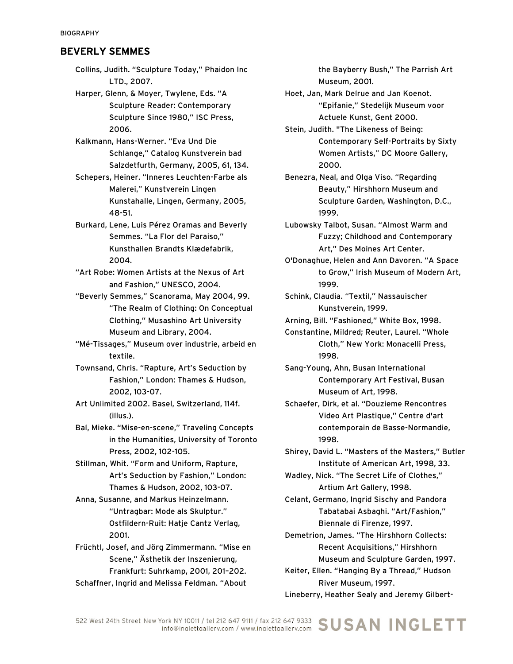Collins, Judith. "Sculpture Today," Phaidon Inc LTD., 2007.

Harper, Glenn, & Moyer, Twylene, Eds. "A Sculpture Reader: Contemporary Sculpture Since 1980," ISC Press, 2006.

Kalkmann, Hans-Werner. "Eva Und Die Schlange," Catalog Kunstverein bad Salzdetfurth, Germany, 2005, 61, 134.

Schepers, Heiner. "Inneres Leuchten-Farbe als Malerei," Kunstverein Lingen Kunstahalle, Lingen, Germany, 2005, 48-51.

Burkard, Lene, Luis Pérez Oramas and Beverly Semmes. "La Flor del Paraiso," Kunsthallen Brandts Klædefabrik, 2004.

"Art Robe: Women Artists at the Nexus of Art and Fashion," UNESCO, 2004.

"Beverly Semmes," Scanorama, May 2004, 99. "The Realm of Clothing: On Conceptual Clothing," Musashino Art University Museum and Library, 2004.

"Mé-Tissages," Museum over industrie, arbeid en textile.

Townsand, Chris. "Rapture, Art's Seduction by Fashion," London: Thames & Hudson, 2002, 103-07.

Art Unlimited 2002. Basel, Switzerland, 114f. (illus.).

Bal, Mieke. "Mise-en-scene," Traveling Concepts in the Humanities, University of Toronto Press, 2002, 102-105.

Stillman, Whit. "Form and Uniform, Rapture, Art's Seduction by Fashion," London: Thames & Hudson, 2002, 103-07.

Anna, Susanne, and Markus Heinzelmann. "Untragbar: Mode als Skulptur." Ostfildern-Ruit: Hatje Cantz Verlag, 2001.

Früchtl, Josef, and Jörg Zimmermann. "Mise en Scene," Ästhetik der Inszenierung, Frankfurt: Suhrkamp, 2001, 201–202.

Schaffner, Ingrid and Melissa Feldman. "About

the Bayberry Bush," The Parrish Art Museum, 2001.

Hoet, Jan, Mark Delrue and Jan Koenot. "Epifanie," Stedelijk Museum voor Actuele Kunst, Gent 2000.

Stein, Judith. "The Likeness of Being: Contemporary Self-Portraits by Sixty Women Artists," DC Moore Gallery, 2000.

Benezra, Neal, and Olga Viso. "Regarding Beauty," Hirshhorn Museum and Sculpture Garden, Washington, D.C., 1999.

Lubowsky Talbot, Susan. "Almost Warm and Fuzzy; Childhood and Contemporary Art," Des Moines Art Center.

O'Donaghue, Helen and Ann Davoren. "A Space to Grow," Irish Museum of Modern Art, 1999.

Schink, Claudia. "Textil," Nassauischer Kunstverein, 1999.

Arning, Bill. "Fashioned," White Box, 1998.

Constantine, Mildred; Reuter, Laurel. "Whole Cloth," New York: Monacelli Press, 1998.

Sang-Young, Ahn, Busan International Contemporary Art Festival, Busan Museum of Art, 1998.

Schaefer, Dirk, et al. "Douzieme Rencontres Video Art Plastique," Centre d'art contemporain de Basse-Normandie, 1998.

Shirey, David L. "Masters of the Masters," Butler Institute of American Art, 1998, 33.

Wadley, Nick. "The Secret Life of Clothes," Artium Art Gallery, 1998.

Celant, Germano, Ingrid Sischy and Pandora Tabatabai Asbaghi. "Art/Fashion," Biennale di Firenze, 1997.

Demetrion, James. "The Hirshhorn Collects: Recent Acquisitions," Hirshhorn Museum and Sculpture Garden, 1997.

Keiter, Ellen. "Hanging By a Thread," Hudson River Museum, 1997.

Lineberry, Heather Sealy and Jeremy Gilbert-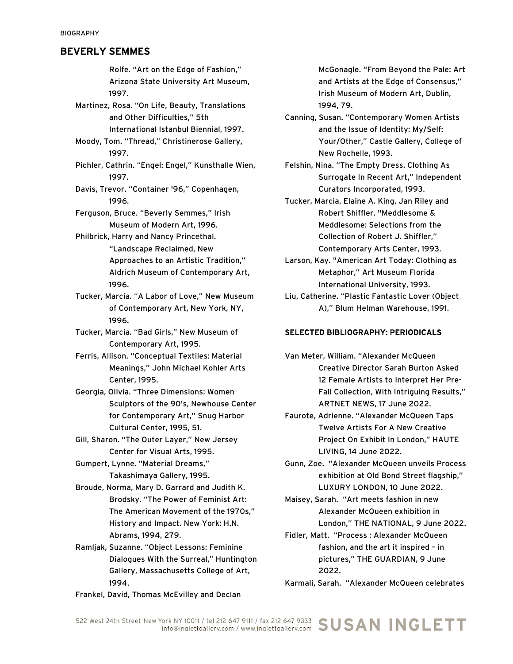Rolfe. "Art on the Edge of Fashion," Arizona State University Art Museum, 1997. Martinez, Rosa. "On Life, Beauty, Translations and Other Difficulties," 5th International Istanbul Biennial, 1997. Moody, Tom. "Thread," Christinerose Gallery, 1997. Pichler, Cathrin. "Engel: Engel," Kunsthalle Wien, 1997. Davis, Trevor. "Container '96," Copenhagen, 1996. Ferguson, Bruce. "Beverly Semmes," Irish Museum of Modern Art, 1996. Philbrick, Harry and Nancy Princethal. "Landscape Reclaimed, New Approaches to an Artistic Tradition," Aldrich Museum of Contemporary Art, 1996. Tucker, Marcia. "A Labor of Love," New Museum of Contemporary Art, New York, NY, 1996. Tucker, Marcia. "Bad Girls," New Museum of Contemporary Art, 1995. Ferris, Allison. "Conceptual Textiles: Material Meanings," John Michael Kohler Arts Center, 1995. Georgia, Olivia. "Three Dimensions: Women Sculptors of the 90's, Newhouse Center for Contemporary Art," Snug Harbor Cultural Center, 1995, 51. Gill, Sharon. "The Outer Layer," New Jersey Center for Visual Arts, 1995. Gumpert, Lynne. "Material Dreams," Takashimaya Gallery, 1995. Broude, Norma, Mary D. Garrard and Judith K. Brodsky. "The Power of Feminist Art:

The American Movement of the 1970s," History and Impact. New York: H.N. Abrams, 1994, 279. Ramljak, Suzanne. "Object Lessons: Feminine

Dialogues With the Surreal," Huntington Gallery, Massachusetts College of Art, 1994.

Frankel, David, Thomas McEvilley and Declan

McGonagle. "From Beyond the Pale: Art and Artists at the Edge of Consensus," Irish Museum of Modern Art, Dublin, 1994, 79.

- Canning, Susan. "Contemporary Women Artists and the Issue of Identity: My/Self: Your/Other," Castle Gallery, College of New Rochelle, 1993.
- Felshin, Nina. "The Empty Dress. Clothing As Surrogate In Recent Art," Independent Curators Incorporated, 1993.

Tucker, Marcia, Elaine A. King, Jan Riley and Robert Shiffler. "Meddlesome & Meddlesome: Selections from the Collection of Robert J. Shiffler," Contemporary Arts Center, 1993.

- Larson, Kay. "American Art Today: Clothing as Metaphor," Art Museum Florida International University, 1993.
- Liu, Catherine. "Plastic Fantastic Lover (Object A)," Blum Helman Warehouse, 1991.

#### SELECTED BIBLIOGRAPHY: PERIODICALS

Van Meter, William. "Alexander McQueen Creative Director Sarah Burton Asked 12 Female Artists to Interpret Her Pre-Fall Collection, With Intriguing Results," ARTNET NEWS, 17 June 2022.

- Faurote, Adrienne. "Alexander McQueen Taps Twelve Artists For A New Creative Project On Exhibit In London," HAUTE LIVING, 14 June 2022.
- Gunn, Zoe. "Alexander McQueen unveils Process exhibition at Old Bond Street flagship," LUXURY LONDON, 10 June 2022.

Maisey, Sarah. "Art meets fashion in new Alexander McQueen exhibition in London," THE NATIONAL, 9 June 2022.

Fidler, Matt. "Process : Alexander McQueen fashion, and the art it inspired – in pictures," THE GUARDIAN, 9 June 2022.

Karmali, Sarah. "Alexander McQueen celebrates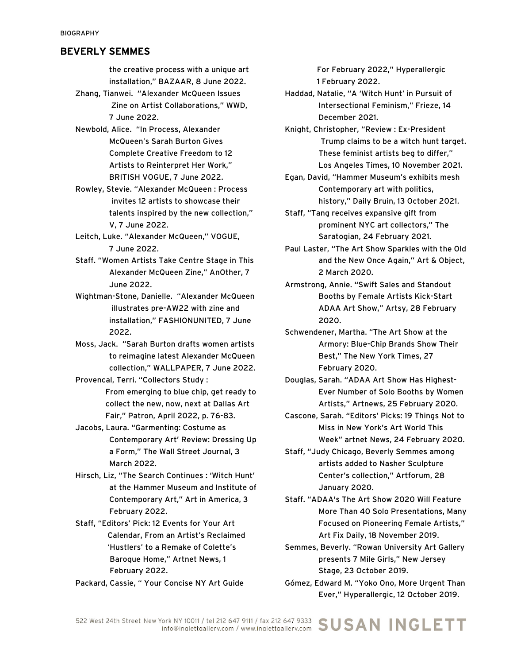the creative process with a unique art installation," BAZAAR, 8 June 2022.

- Zhang, Tianwei. "Alexander McQueen Issues Zine on Artist Collaborations," WWD, 7 June 2022.
- Newbold, Alice. "In Process, Alexander McQueen's Sarah Burton Gives Complete Creative Freedom to 12 Artists to Reinterpret Her Work," BRITISH VOGUE, 7 June 2022.
- Rowley, Stevie. "Alexander McQueen : Process invites 12 artists to showcase their talents inspired by the new collection," V, 7 June 2022.
- Leitch, Luke. "Alexander McQueen," VOGUE, 7 June 2022.
- Staff. "Women Artists Take Centre Stage in This Alexander McQueen Zine," AnOther, 7 June 2022.
- Wightman-Stone, Danielle. "Alexander McQueen illustrates pre-AW22 with zine and installation," FASHIONUNITED, 7 June 2022.
- Moss, Jack. "Sarah Burton drafts women artists to reimagine latest Alexander McQueen collection," WALLPAPER, 7 June 2022.
- Provencal, Terri. "Collectors Study : From emerging to blue chip, get ready to collect the new, now, next at Dallas Art Fair," Patron, April 2022, p. 76-83.
- Jacobs, Laura. "Garmenting: Costume as Contemporary Art' Review: Dressing Up a Form," The Wall Street Journal, 3 March 2022.
- Hirsch, Liz, "The Search Continues : 'Witch Hunt' at the Hammer Museum and Institute of Contemporary Art," Art in America, 3 February 2022.
- Staff, "Editors' Pick: 12 Events for Your Art Calendar, From an Artist's Reclaimed 'Hustlers' to a Remake of Colette's Baroque Home," Artnet News, 1 February 2022.
- Packard, Cassie, " Your Concise NY Art Guide

 For February 2022," Hyperallergic 1 February 2022.

- Haddad, Natalie, "A 'Witch Hunt' in Pursuit of Intersectional Feminism," Frieze, 14 December 2021.
- Knight, Christopher, "Review : Ex-President Trump claims to be a witch hunt target. These feminist artists beg to differ," Los Angeles Times, 10 November 2021.
- Egan, David, "Hammer Museum's exhibits mesh Contemporary art with politics, history," Daily Bruin, 13 October 2021.
- Staff, "Tang receives expansive gift from prominent NYC art collectors," The Saratogian, 24 February 2021.
- Paul Laster, "The Art Show Sparkles with the Old and the New Once Again," Art & Object, 2 March 2020.
- Armstrong, Annie. "Swift Sales and Standout Booths by Female Artists Kick-Start ADAA Art Show," Artsy, 28 February 2020.
- Schwendener, Martha. "The Art Show at the Armory: Blue-Chip Brands Show Their Best," The New York Times, 27 February 2020.
- Douglas, Sarah. "ADAA Art Show Has Highest-Ever Number of Solo Booths by Women Artists," Artnews, 25 February 2020.
- Cascone, Sarah. "Editors' Picks: 19 Things Not to Miss in New York's Art World This Week" artnet News, 24 February 2020.
- Staff, "Judy Chicago, Beverly Semmes among artists added to Nasher Sculpture Center's collection," Artforum, 28 January 2020.
- Staff. "ADAA's The Art Show 2020 Will Feature More Than 40 Solo Presentations, Many Focused on Pioneering Female Artists," Art Fix Daily, 18 November 2019.
- Semmes, Beverly. "Rowan University Art Gallery presents 7 Mile Girls," New Jersey Stage, 23 October 2019.
- Gómez, Edward M. "Yoko Ono, More Urgent Than Ever," Hyperallergic, 12 October 2019.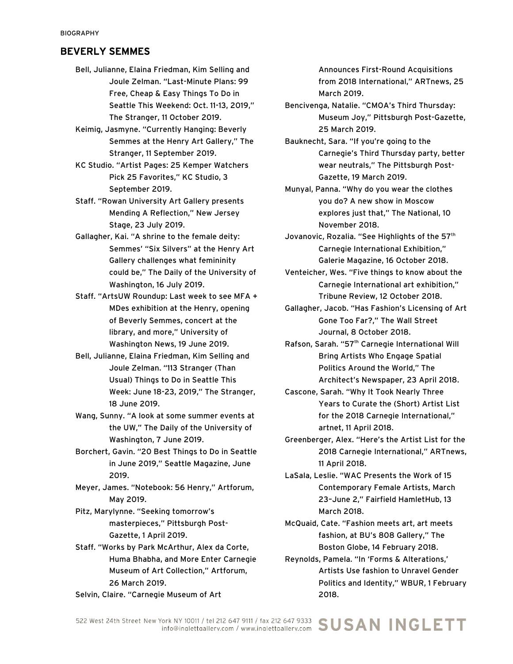- Bell, Julianne, Elaina Friedman, Kim Selling and Joule Zelman. "Last-Minute Plans: 99 Free, Cheap & Easy Things To Do in Seattle This Weekend: Oct. 11-13, 2019," The Stranger, 11 October 2019.
- Keimig, Jasmyne. "Currently Hanging: Beverly Semmes at the Henry Art Gallery," The Stranger, 11 September 2019.
- KC Studio. "Artist Pages: 25 Kemper Watchers Pick 25 Favorites," KC Studio, 3 September 2019.
- Staff. "Rowan University Art Gallery presents Mending A Reflection," New Jersey Stage, 23 July 2019.
- Gallagher, Kai. "A shrine to the female deity: Semmes' "Six Silvers" at the Henry Art Gallery challenges what femininity could be," The Daily of the University of Washington, 16 July 2019.
- Staff. "ArtsUW Roundup: Last week to see MFA + MDes exhibition at the Henry, opening of Beverly Semmes, concert at the library, and more," University of Washington News, 19 June 2019.
- Bell, Julianne, Elaina Friedman, Kim Selling and Joule Zelman. "113 Stranger (Than Usual) Things to Do in Seattle This Week: June 18-23, 2019," The Stranger, 18 June 2019.
- Wang, Sunny. "A look at some summer events at the UW," The Daily of the University of Washington, 7 June 2019.
- Borchert, Gavin. "20 Best Things to Do in Seattle in June 2019," Seattle Magazine, June 2019.
- Meyer, James. "Notebook: 56 Henry," Artforum, May 2019.
- Pitz, Marylynne. "Seeking tomorrow's masterpieces," Pittsburgh Post-Gazette, 1 April 2019.
- Staff. "Works by Park McArthur, Alex da Corte, Huma Bhabha, and More Enter Carnegie Museum of Art Collection," Artforum, 26 March 2019.

Selvin, Claire. "Carnegie Museum of Art

Announces First-Round Acquisitions from 2018 International," ARTnews, 25 March 2019.

- Bencivenga, Natalie. "CMOA's Third Thursday: Museum Joy," Pittsburgh Post-Gazette, 25 March 2019.
- Bauknecht, Sara. "If you're going to the Carnegie's Third Thursday party, better wear neutrals," The Pittsburgh Post-Gazette, 19 March 2019.
- Munyal, Panna. "Why do you wear the clothes you do? A new show in Moscow explores just that," The National, 10 November 2018.
- Jovanovic, Rozalia. "See Highlights of the 57<sup>th</sup> Carnegie International Exhibition," Galerie Magazine, 16 October 2018.
- Venteicher, Wes. "Five things to know about the Carnegie International art exhibition," Tribune Review, 12 October 2018.
- Gallagher, Jacob. "Has Fashion's Licensing of Art Gone Too Far?," The Wall Street Journal, 8 October 2018.
- Rafson, Sarah. "57<sup>th</sup> Carnegie International Will Bring Artists Who Engage Spatial Politics Around the World," The Architect's Newspaper, 23 April 2018.
- Cascone, Sarah. "Why It Took Nearly Three Years to Curate the (Short) Artist List for the 2018 Carnegie International," artnet, 11 April 2018.
- Greenberger, Alex. "Here's the Artist List for the 2018 Carnegie International," ARTnews, 11 April 2018.
- LaSala, Leslie. "WAC Presents the Work of 15 Contemporary Female Artists, March 23–June 2," Fairfield HamletHub, 13 March 2018.
- McQuaid, Cate. "Fashion meets art, art meets fashion, at BU's 808 Gallery," The Boston Globe, 14 February 2018.
- Reynolds, Pamela. "In 'Forms & Alterations,' Artists Use fashion to Unravel Gender Politics and Identity," WBUR, 1 February 2018.

/ork NY 10011 / tel 212 647 9111 / fax 212 647 9333 SUSAN INGLETT 522 West 24th Street New York NY 10011 / tel 212 647 9111 / fax 212 647 9333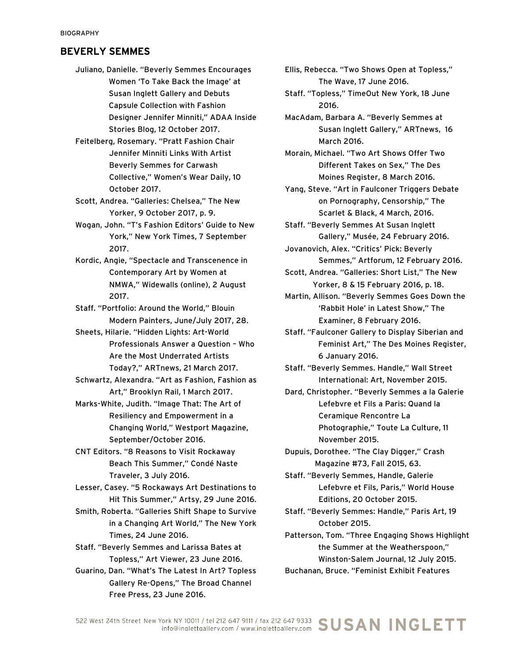- Juliano, Danielle. "Beverly Semmes Encourages Women 'To Take Back the Image' at Susan Inglett Gallery and Debuts Capsule Collection with Fashion Designer Jennifer Minniti," ADAA Inside Stories Blog, 12 October 2017.
- Feitelberg, Rosemary. "Pratt Fashion Chair Jennifer Minniti Links With Artist Beverly Semmes for Carwash Collective," Women's Wear Daily, 10 October 2017.

Scott, Andrea. "Galleries: Chelsea," The New Yorker, 9 October 2017, p. 9.

Wogan, John. "T's Fashion Editors' Guide to New York," New York Times, 7 September 2017.

Kordic, Angie, "Spectacle and Transcenence in Contemporary Art by Women at NMWA," Widewalls (online), 2 August 2017.

Staff. "Portfolio: Around the World," Blouin Modern Painters, June/July 2017, 28.

Sheets, Hilarie. "Hidden Lights: Art-World Professionals Answer a Question – Who Are the Most Underrated Artists Today?," ARTnews, 21 March 2017.

Schwartz, Alexandra. "Art as Fashion, Fashion as Art," Brooklyn Rail, 1 March 2017.

Marks-White, Judith. "Image That: The Art of Resiliency and Empowerment in a Changing World," Westport Magazine, September/October 2016.

CNT Editors. "8 Reasons to Visit Rockaway Beach This Summer," Condé Naste Traveler, 3 July 2016.

Lesser, Casey. "5 Rockaways Art Destinations to Hit This Summer," Artsy, 29 June 2016.

Smith, Roberta. "Galleries Shift Shape to Survive in a Changing Art World," The New York Times, 24 June 2016.

Staff. "Beverly Semmes and Larissa Bates at Topless," Art Viewer, 23 June 2016.

Guarino, Dan. "What's The Latest In Art? Topless Gallery Re-Opens," The Broad Channel Free Press, 23 June 2016.

Ellis, Rebecca. "Two Shows Open at Topless," The Wave, 17 June 2016.

Staff. "Topless," TimeOut New York, 18 June 2016.

MacAdam, Barbara A. "Beverly Semmes at Susan Inglett Gallery," ARTnews, 16 March 2016.

Morain, Michael. "Two Art Shows Offer Two Different Takes on Sex," The Des Moines Register, 8 March 2016.

Yang, Steve. "Art in Faulconer Triggers Debate on Pornography, Censorship," The Scarlet & Black, 4 March, 2016.

Staff. "Beverly Semmes At Susan Inglett Gallery," Musée, 24 February 2016.

- Jovanovich, Alex. "Critics' Pick: Beverly Semmes," Artforum, 12 February 2016.
- Scott, Andrea. "Galleries: Short List," The New Yorker, 8 & 15 February 2016, p. 18.

Martin, Allison. "Beverly Semmes Goes Down the 'Rabbit Hole' in Latest Show," The Examiner, 8 February 2016.

Staff. "Faulconer Gallery to Display Siberian and Feminist Art," The Des Moines Register, 6 January 2016.

- Staff. "Beverly Semmes. Handle," Wall Street International: Art, November 2015.
- Dard, Christopher. "Beverly Semmes a la Galerie Lefebvre et Fils a Paris: Quand la Ceramique Rencontre La Photographie," Toute La Culture, 11 November 2015.
- Dupuis, Dorothee. "The Clay Digger," Crash Magazine #73, Fall 2015, 63.

Staff. "Beverly Semmes, Handle, Galerie Lefebvre et Fils, Paris," World House Editions, 20 October 2015.

- Staff. "Beverly Semmes: Handle," Paris Art, 19 October 2015.
- Patterson, Tom. "Three Engaging Shows Highlight the Summer at the Weatherspoon," Winston-Salem Journal, 12 July 2015.

Buchanan, Bruce. "Feminist Exhibit Features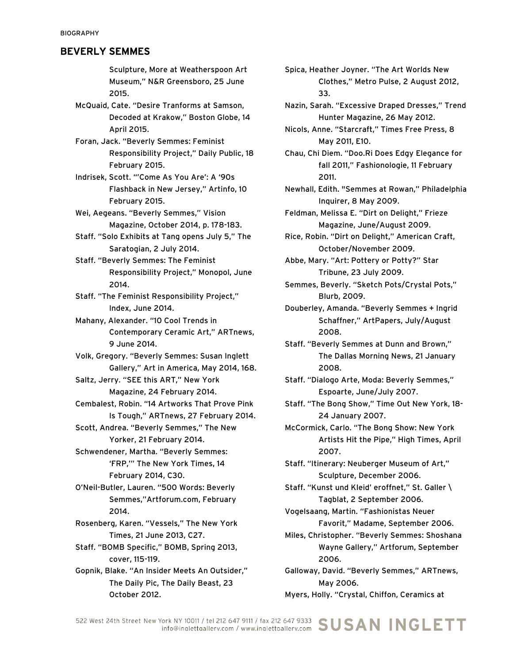Sculpture, More at Weatherspoon Art Museum," N&R Greensboro, 25 June 2015.

McQuaid, Cate. "Desire Tranforms at Samson, Decoded at Krakow," Boston Globe, 14 April 2015.

Foran, Jack. "Beverly Semmes: Feminist Responsibility Project," Daily Public, 18 February 2015.

Indrisek, Scott. "'Come As You Are': A '90s Flashback in New Jersey," Artinfo, 10 February 2015.

Wei, Aegeans. "Beverly Semmes," Vision Magazine, October 2014, p. 178-183.

Staff. "Solo Exhibits at Tang opens July 5," The Saratogian, 2 July 2014.

Staff. "Beverly Semmes: The Feminist Responsibility Project," Monopol, June 2014.

Staff. "The Feminist Responsibility Project," Index, June 2014.

Mahany, Alexander. "10 Cool Trends in Contemporary Ceramic Art," ARTnews, 9 June 2014.

Volk, Gregory. "Beverly Semmes: Susan Inglett Gallery," Art in America, May 2014, 168.

Saltz, Jerry. "SEE this ART," New York Magazine, 24 February 2014.

Cembalest, Robin. "14 Artworks That Prove Pink Is Tough," ARTnews, 27 February 2014.

Scott, Andrea. "Beverly Semmes," The New Yorker, 21 February 2014.

Schwendener, Martha. "Beverly Semmes: 'FRP,'" The New York Times, 14 February 2014, C30.

O'Neil-Butler, Lauren. "500 Words: Beverly Semmes,"Artforum.com, February 2014.

Rosenberg, Karen. "Vessels," The New York Times, 21 June 2013, C27.

Staff. "BOMB Specific," BOMB, Spring 2013, cover, 115-119.

Gopnik, Blake. "An Insider Meets An Outsider," The Daily Pic, The Daily Beast, 23 October 2012.

Spica, Heather Joyner. "The Art Worlds New Clothes," Metro Pulse, 2 August 2012, 33.

Nazin, Sarah. "Excessive Draped Dresses," Trend Hunter Magazine, 26 May 2012.

Nicols, Anne. "Starcraft," Times Free Press, 8 May 2011, E10.

Chau, Chi Diem. "Doo.Ri Does Edgy Elegance for fall 2011," Fashionologie, 11 February 2011.

Newhall, Edith. "Semmes at Rowan," Philadelphia Inquirer, 8 May 2009.

Feldman, Melissa E. "Dirt on Delight," Frieze Magazine, June/August 2009.

Rice, Robin. "Dirt on Delight," American Craft, October/November 2009.

Abbe, Mary. "Art: Pottery or Potty?" Star Tribune, 23 July 2009.

Semmes, Beverly. "Sketch Pots/Crystal Pots," Blurb, 2009.

Douberley, Amanda. "Beverly Semmes + Ingrid Schaffner," ArtPapers, July/August 2008.

Staff. "Beverly Semmes at Dunn and Brown," The Dallas Morning News, 21 January 2008.

Staff. "Dialogo Arte, Moda: Beverly Semmes," Espoarte, June/July 2007.

Staff. "The Bong Show," Time Out New York, 18- 24 January 2007.

McCormick, Carlo. "The Bong Show: New York Artists Hit the Pipe," High Times, April 2007.

Staff. "Itinerary: Neuberger Museum of Art," Sculpture, December 2006.

Staff. "Kunst und Kleid' eroffnet," St. Galler \ Tagblat, 2 September 2006.

Vogelsaang, Martin. "Fashionistas Neuer Favorit," Madame, September 2006.

Miles, Christopher. "Beverly Semmes: Shoshana Wayne Gallery," Artforum, September 2006.

Galloway, David. "Beverly Semmes," ARTnews, May 2006. Myers, Holly. "Crystal, Chiffon, Ceramics at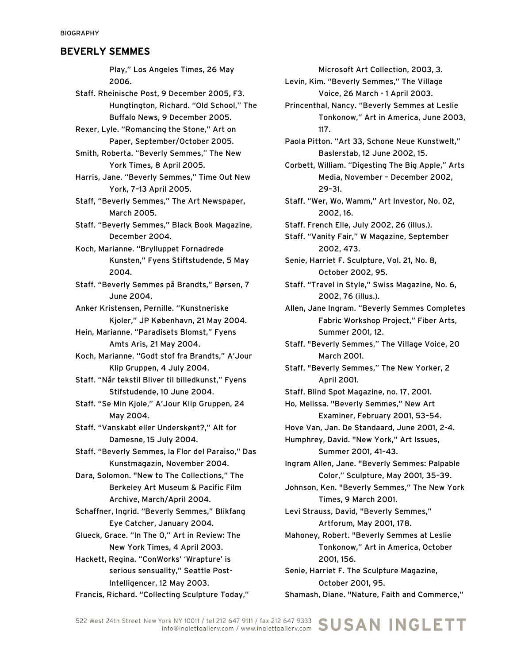Play," Los Angeles Times, 26 May 2006.

- Staff. Rheinische Post, 9 December 2005, F3. Hungtington, Richard. "Old School," The Buffalo News, 9 December 2005.
- Rexer, Lyle. "Romancing the Stone," Art on Paper, September/October 2005.
- Smith, Roberta. "Beverly Semmes," The New York Times, 8 April 2005.
- Harris, Jane. "Beverly Semmes," Time Out New York, 7–13 April 2005.
- Staff, "Beverly Semmes," The Art Newspaper, March 2005.
- Staff. "Beverly Semmes," Black Book Magazine, December 2004.
- Koch, Marianne. "Brylluppet Fornadrede Kunsten," Fyens Stiftstudende, 5 May 2004.
- Staff. "Beverly Semmes på Brandts," Børsen, 7 June 2004.
- Anker Kristensen, Pernille. "Kunstneriske Kjoler," JP København, 21 May 2004.
- Hein, Marianne. "Paradisets Blomst," Fyens Amts Aris, 21 May 2004.
- Koch, Marianne. "Godt stof fra Brandts," A'Jour Klip Gruppen, 4 July 2004.
- Staff. "Når tekstil Bliver til billedkunst," Fyens Stifstudende, 10 June 2004.
- Staff. "Se Min Kjole," A'Jour Klip Gruppen, 24 May 2004.
- Staff. "Vanskabt eller Underskønt?," Alt for Damesne, 15 July 2004.
- Staff. "Beverly Semmes, la Flor del Paraiso," Das Kunstmagazin, November 2004.
- Dara, Solomon. "New to The Collections," The Berkeley Art Museum & Pacific Film Archive, March/April 2004.
- Schaffner, Ingrid. "Beverly Semmes," Blikfang Eye Catcher, January 2004.
- Glueck, Grace. "In The O," Art in Review: The New York Times, 4 April 2003.
- Hackett, Regina. "ConWorks' 'Wrapture' is serious sensuality," Seattle Post-Intelligencer, 12 May 2003.
- Francis, Richard. "Collecting Sculpture Today,"

Microsoft Art Collection, 2003, 3.

- Levin, Kim. "Beverly Semmes," The Village Voice, 26 March - 1 April 2003.
- Princenthal, Nancy. "Beverly Semmes at Leslie Tonkonow," Art in America, June 2003, 117.
- Paola Pitton. "Art 33, Schone Neue Kunstwelt," Baslerstab, 12 June 2002, 15.
- Corbett, William. "Digesting The Big Apple," Arts Media, November – December 2002, 29–31.
- Staff. "Wer, Wo, Wamm," Art Investor, No. 02, 2002, 16.
- Staff. French Elle, July 2002, 26 (illus.).
- Staff. "Vanity Fair," W Magazine, September 2002, 473.
- Senie, Harriet F. Sculpture, Vol. 21, No. 8, October 2002, 95.
- Staff. "Travel in Style," Swiss Magazine, No. 6, 2002, 76 (illus.).
- Allen, Jane Ingram. "Beverly Semmes Completes Fabric Workshop Project," Fiber Arts, Summer 2001, 12.
- Staff. "Beverly Semmes," The Village Voice, 20 March 2001.
- Staff. "Beverly Semmes," The New Yorker, 2 April 2001.
- Staff. Blind Spot Magazine, no. 17, 2001.
- Ho, Melissa. "Beverly Semmes," New Art Examiner, February 2001, 53–54.
- Hove Van, Jan. De Standaard, June 2001, 2-4. Humphrey, David. "New York," Art Issues,
	- Summer 2001, 41–43.
- Ingram Allen, Jane. "Beverly Semmes: Palpable Color," Sculpture, May 2001, 35–39.
- Johnson, Ken. "Beverly Semmes," The New York Times, 9 March 2001.
- Levi Strauss, David, "Beverly Semmes," Artforum, May 2001, 178.
- Mahoney, Robert. "Beverly Semmes at Leslie Tonkonow," Art in America, October 2001, 156.
- Senie, Harriet F. The Sculpture Magazine, October 2001, 95. Shamash, Diane. "Nature, Faith and Commerce,"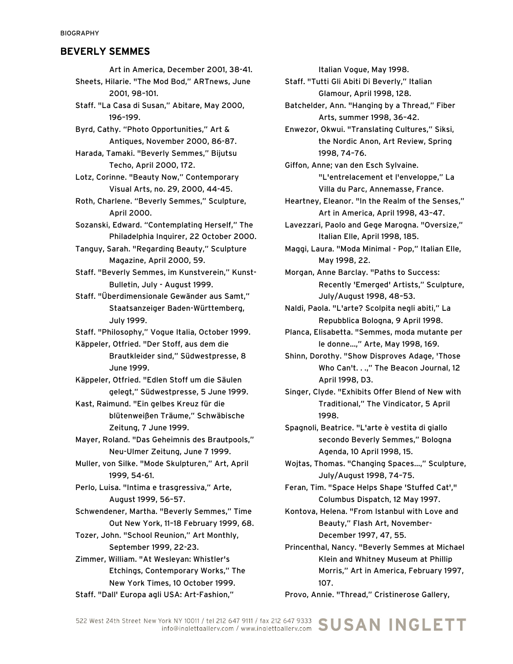Art in America, December 2001, 38-41. Sheets, Hilarie. "The Mod Bod," ARTnews, June 2001, 98–101. Staff. "La Casa di Susan," Abitare, May 2000, 196–199. Byrd, Cathy. "Photo Opportunities," Art & Antiques, November 2000, 86-87. Harada, Tamaki. "Beverly Semmes," Bijutsu Techo, April 2000, 172. Lotz, Corinne. "Beauty Now," Contemporary Visual Arts, no. 29, 2000, 44-45. Roth, Charlene. "Beverly Semmes," Sculpture,

April 2000.

Sozanski, Edward. "Contemplating Herself," The Philadelphia Inquirer, 22 October 2000.

Tanguy, Sarah. "Regarding Beauty," Sculpture Magazine, April 2000, 59.

Staff. "Beverly Semmes, im Kunstverein," Kunst-Bulletin, July - August 1999.

Staff. "Überdimensionale Gewänder aus Samt," Staatsanzeiger Baden-Württemberg, July 1999.

Staff. "Philosophy," Vogue Italia, October 1999.

Käppeler, Otfried. "Der Stoff, aus dem die Brautkleider sind," Südwestpresse, 8 June 1999.

Käppeler, Otfried. "Edlen Stoff um die Säulen gelegt," Südwestpresse, 5 June 1999.

Kast, Raimund. "Ein gelbes Kreuz für die blütenweißen Träume," Schwäbische Zeitung, 7 June 1999.

Mayer, Roland. "Das Geheimnis des Brautpools," Neu-Ulmer Zeitung, June 7 1999.

Muller, von Silke. "Mode Skulpturen," Art, April 1999, 54-61.

Perlo, Luisa. "Intima e trasgressiva," Arte, August 1999, 56–57.

Schwendener, Martha. "Beverly Semmes," Time Out New York, 11–18 February 1999, 68.

Tozer, John. "School Reunion," Art Monthly, September 1999, 22-23.

Zimmer, William. "At Wesleyan: Whistler's Etchings, Contemporary Works," The New York Times, 10 October 1999. Staff. "Dall' Europa agli USA: Art-Fashion,"

Italian Vogue, May 1998.

Staff. "Tutti Gli Abiti Di Beverly," Italian Glamour, April 1998, 128.

Batchelder, Ann. "Hanging by a Thread," Fiber Arts, summer 1998, 36–42.

Enwezor, Okwui. "Translating Cultures," Siksi, the Nordic Anon, Art Review, Spring 1998, 74–76.

Giffon, Anne; van den Esch Sylvaine. "L'entrelacement et l'enveloppe," La Villa du Parc, Annemasse, France.

Heartney, Eleanor. "In the Realm of the Senses," Art in America, April 1998, 43–47.

Lavezzari, Paolo and Gege Marogna. "Oversize," Italian Elle, April 1998, 185.

Maggi, Laura. "Moda Minimal - Pop," Italian Elle, May 1998, 22.

Morgan, Anne Barclay. "Paths to Success: Recently 'Emerged' Artists," Sculpture, July/August 1998, 48–53.

Naldi, Paola. "L'arte? Scolpita negli abiti," La Repubblica Bologna, 9 April 1998.

Planca, Elisabetta. "Semmes, moda mutante per le donne...," Arte, May 1998, 169.

Shinn, Dorothy. "Show Disproves Adage, 'Those Who Can't. . .," The Beacon Journal, 12 April 1998, D3.

Singer, Clyde. "Exhibits Offer Blend of New with Traditional," The Vindicator, 5 April 1998.

Spagnoli, Beatrice. "L'arte è vestita di giallo secondo Beverly Semmes," Bologna Agenda, 10 April 1998, 15.

Wojtas, Thomas. "Changing Spaces...," Sculpture, July/August 1998, 74–75.

Feran, Tim. "Space Helps Shape 'Stuffed Cat'," Columbus Dispatch, 12 May 1997.

Kontova, Helena. "From Istanbul with Love and Beauty," Flash Art, November-December 1997, 47, 55.

Princenthal, Nancy. "Beverly Semmes at Michael Klein and Whitney Museum at Phillip Morris," Art in America, February 1997, 107.

Provo, Annie. "Thread," Cristinerose Gallery,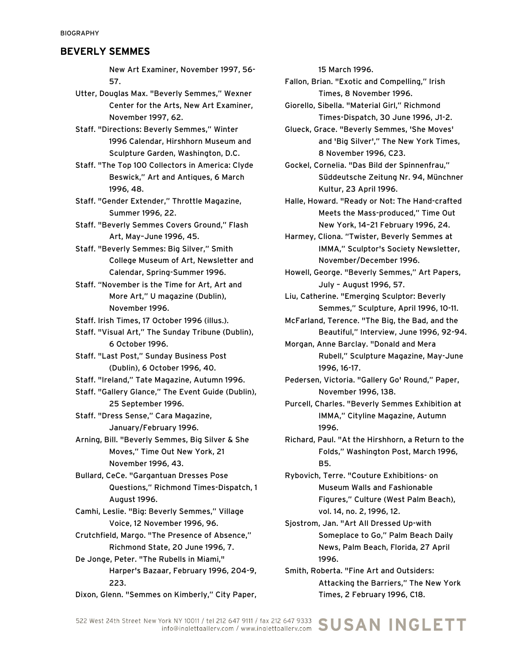New Art Examiner, November 1997, 56- 57.

- Utter, Douglas Max. "Beverly Semmes," Wexner Center for the Arts, New Art Examiner, November 1997, 62.
- Staff. "Directions: Beverly Semmes," Winter 1996 Calendar, Hirshhorn Museum and Sculpture Garden, Washington, D.C.
- Staff. "The Top 100 Collectors in America: Clyde Beswick," Art and Antiques, 6 March 1996, 48.
- Staff. "Gender Extender," Throttle Magazine, Summer 1996, 22.
- Staff. "Beverly Semmes Covers Ground," Flash Art, May–June 1996, 45.
- Staff. "Beverly Semmes: Big Silver," Smith College Museum of Art, Newsletter and Calendar, Spring-Summer 1996.
- Staff. "November is the Time for Art, Art and More Art," U magazine (Dublin), November 1996.
- Staff. Irish Times, 17 October 1996 (illus.).
- Staff. "Visual Art," The Sunday Tribune (Dublin), 6 October 1996.
- Staff. "Last Post," Sunday Business Post (Dublin), 6 October 1996, 40.
- Staff. "Ireland," Tate Magazine, Autumn 1996.
- Staff. "Gallery Glance," The Event Guide (Dublin), 25 September 1996.
- Staff. "Dress Sense," Cara Magazine, January/February 1996.
- Arning, Bill. "Beverly Semmes, Big Silver & She Moves," Time Out New York, 21 November 1996, 43.
- Bullard, CeCe. "Gargantuan Dresses Pose Questions," Richmond Times-Dispatch, 1 August 1996.
- Camhi, Leslie. "Big: Beverly Semmes," Village Voice, 12 November 1996, 96.
- Crutchfield, Margo. "The Presence of Absence," Richmond State, 20 June 1996, 7.
- De Jonge, Peter. "The Rubells in Miami," Harper's Bazaar, February 1996, 204-9, 223.
- Dixon, Glenn. "Semmes on Kimberly," City Paper,

15 March 1996.

Fallon, Brian. "Exotic and Compelling," Irish Times, 8 November 1996.

- Giorello, Sibella. "Material Girl," Richmond Times-Dispatch, 30 June 1996, J1-2.
- Glueck, Grace. "Beverly Semmes, 'She Moves' and 'Big Silver'," The New York Times, 8 November 1996, C23.
- Gockel, Cornelia. "Das Bild der Spinnenfrau," Süddeutsche Zeitung Nr. 94, Münchner Kultur, 23 April 1996.
- Halle, Howard. "Ready or Not: The Hand-crafted Meets the Mass-produced," Time Out New York, 14–21 February 1996, 24.
- Harmey, Cliona. "Twister, Beverly Semmes at IMMA," Sculptor's Society Newsletter, November/December 1996.
- Howell, George. "Beverly Semmes," Art Papers, July – August 1996, 57.
- Liu, Catherine. "Emerging Sculptor: Beverly Semmes," Sculpture, April 1996, 10-11.
- McFarland, Terence. "The Big, the Bad, and the Beautiful," Interview, June 1996, 92-94.
- Morgan, Anne Barclay. "Donald and Mera Rubell," Sculpture Magazine, May-June 1996, 16-17.
- Pedersen, Victoria. "Gallery Go' Round," Paper, November 1996, 138.
- Purcell, Charles. "Beverly Semmes Exhibition at IMMA," Cityline Magazine, Autumn 1996.
- Richard, Paul. "At the Hirshhorn, a Return to the Folds," Washington Post, March 1996, B5.
- Rybovich, Terre. "Couture Exhibitions- on Museum Walls and Fashionable Figures," Culture (West Palm Beach), vol. 14, no. 2, 1996, 12.
- Sjostrom, Jan. "Art All Dressed Up-with Someplace to Go," Palm Beach Daily News, Palm Beach, Florida, 27 April 1996.
- Smith, Roberta. "Fine Art and Outsiders: Attacking the Barriers," The New York Times, 2 February 1996, C18.

/ork NY 10011 / tel 212 647 9111 / fax 212 647 9333 SUSAN INGLETT 522 West 24th Street New York NY 10011 / tel 212 647 9111 / fax 212 647 9333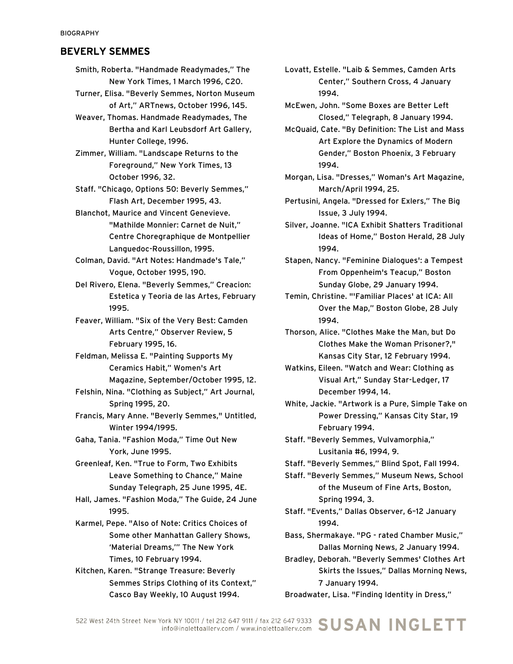Smith, Roberta. "Handmade Readymades," The New York Times, 1 March 1996, C20.

- Turner, Elisa. "Beverly Semmes, Norton Museum of Art," ARTnews, October 1996, 145.
- Weaver, Thomas. Handmade Readymades, The Bertha and Karl Leubsdorf Art Gallery, Hunter College, 1996.
- Zimmer, William. "Landscape Returns to the Foreground," New York Times, 13 October 1996, 32.

Staff. "Chicago, Options 50: Beverly Semmes," Flash Art, December 1995, 43.

Blanchot, Maurice and Vincent Genevieve. "Mathilde Monnier: Carnet de Nuit," Centre Choregraphique de Montpellier Languedoc-Roussillon, 1995.

Colman, David. "Art Notes: Handmade's Tale," Vogue, October 1995, 190.

Del Rivero, Elena. "Beverly Semmes," Creacion: Estetica y Teoria de las Artes, February 1995.

Feaver, William. "Six of the Very Best: Camden Arts Centre," Observer Review, 5 February 1995, 16.

Feldman, Melissa E. "Painting Supports My Ceramics Habit," Women's Art Magazine, September/October 1995, 12.

Felshin, Nina. "Clothing as Subject," Art Journal, Spring 1995, 20.

Francis, Mary Anne. "Beverly Semmes," Untitled, Winter 1994/1995.

Gaha, Tania. "Fashion Moda," Time Out New York, June 1995.

Greenleaf, Ken. "True to Form, Two Exhibits Leave Something to Chance," Maine Sunday Telegraph, 25 June 1995, 4E.

Hall, James. "Fashion Moda," The Guide, 24 June 1995.

Karmel, Pepe. "Also of Note: Critics Choices of Some other Manhattan Gallery Shows, 'Material Dreams,'" The New York Times, 10 February 1994.

Kitchen, Karen. "Strange Treasure: Beverly Semmes Strips Clothing of its Context," Casco Bay Weekly, 10 August 1994.

Lovatt, Estelle. "Laib & Semmes, Camden Arts Center," Southern Cross, 4 January 1994.

McEwen, John. "Some Boxes are Better Left Closed," Telegraph, 8 January 1994.

McQuaid, Cate. "By Definition: The List and Mass Art Explore the Dynamics of Modern Gender," Boston Phoenix, 3 February 1994.

- Morgan, Lisa. "Dresses," Woman's Art Magazine, March/April 1994, 25.
- Pertusini, Angela. "Dressed for Exlers," The Big Issue, 3 July 1994.
- Silver, Joanne. "ICA Exhibit Shatters Traditional Ideas of Home," Boston Herald, 28 July 1994.
- Stapen, Nancy. "Feminine Dialogues': a Tempest From Oppenheim's Teacup," Boston Sunday Globe, 29 January 1994.

Temin, Christine. "'Familiar Places' at ICA: All Over the Map," Boston Globe, 28 July 1994.

- Thorson, Alice. "Clothes Make the Man, but Do Clothes Make the Woman Prisoner?," Kansas City Star, 12 February 1994.
- Watkins, Eileen. "Watch and Wear: Clothing as Visual Art," Sunday Star-Ledger, 17 December 1994, 14.

White, Jackie. "Artwork is a Pure, Simple Take on Power Dressing," Kansas City Star, 19 February 1994.

- Staff. "Beverly Semmes, Vulvamorphia," Lusitania #6, 1994, 9.
- Staff. "Beverly Semmes," Blind Spot, Fall 1994.
- Staff. "Beverly Semmes," Museum News, School of the Museum of Fine Arts, Boston, Spring 1994, 3.

Staff. "Events," Dallas Observer, 6–12 January 1994.

Bass, Shermakaye. "PG - rated Chamber Music," Dallas Morning News, 2 January 1994.

Bradley, Deborah. "Beverly Semmes' Clothes Art Skirts the Issues," Dallas Morning News, 7 January 1994.

Broadwater, Lisa. "Finding Identity in Dress,"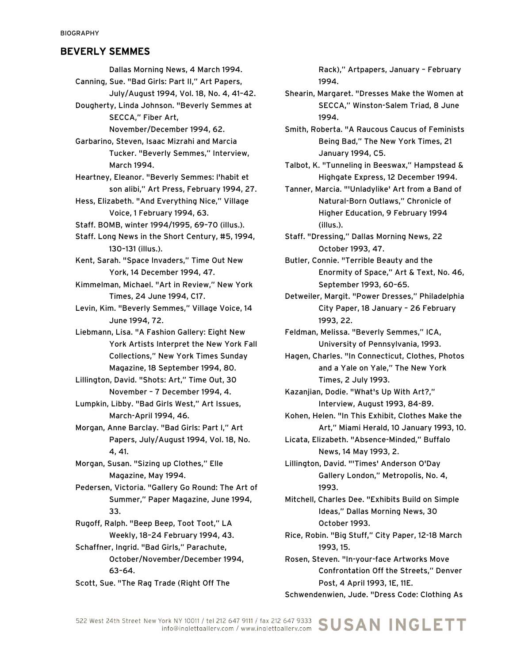Dallas Morning News, 4 March 1994. Canning, Sue. "Bad Girls: Part II," Art Papers, July/August 1994, Vol. 18, No. 4, 41–42. Dougherty, Linda Johnson. "Beverly Semmes at SECCA," Fiber Art, November/December 1994, 62. Garbarino, Steven, Isaac Mizrahi and Marcia Tucker. "Beverly Semmes," Interview, March 1994. Heartney, Eleanor. "Beverly Semmes: l'habit et son alibi," Art Press, February 1994, 27. Hess, Elizabeth. "And Everything Nice," Village Voice, 1 February 1994, 63. Staff. BOMB, winter 1994/1995, 69–70 (illus.). Staff. Long News in the Short Century, #5, 1994, 130–131 (illus.). Kent, Sarah. "Space Invaders," Time Out New York, 14 December 1994, 47. Kimmelman, Michael. "Art in Review," New York Times, 24 June 1994, C17. Levin, Kim. "Beverly Semmes," Village Voice, 14 June 1994, 72. Liebmann, Lisa. "A Fashion Gallery: Eight New York Artists Interpret the New York Fall Collections," New York Times Sunday Magazine, 18 September 1994, 80. Lillington, David. "Shots: Art," Time Out, 30 November – 7 December 1994, 4. Lumpkin, Libby. "Bad Girls West," Art Issues, March-April 1994, 46. Morgan, Anne Barclay. "Bad Girls: Part I," Art Papers, July/August 1994, Vol. 18, No. 4, 41. Morgan, Susan. "Sizing up Clothes," Elle Magazine, May 1994. Pedersen, Victoria. "Gallery Go Round: The Art of Summer," Paper Magazine, June 1994, 33. Rugoff, Ralph. "Beep Beep, Toot Toot," LA Weekly, 18–24 February 1994, 43. Schaffner, Ingrid. "Bad Girls," Parachute, October/November/December 1994, 63–64.

Scott, Sue. "The Rag Trade (Right Off The

Rack)," Artpapers, January – February 1994.

Shearin, Margaret. "Dresses Make the Women at SECCA," Winston-Salem Triad, 8 June 1994.

Smith, Roberta. "A Raucous Caucus of Feminists Being Bad," The New York Times, 21 January 1994, C5.

Talbot, K. "Tunneling in Beeswax," Hampstead & Highgate Express, 12 December 1994.

Tanner, Marcia. "'Unladylike' Art from a Band of Natural-Born Outlaws," Chronicle of Higher Education, 9 February 1994 (illus.).

Staff. "Dressing," Dallas Morning News, 22 October 1993, 47.

Butler, Connie. "Terrible Beauty and the Enormity of Space," Art & Text, No. 46, September 1993, 60–65.

Detweiler, Margit. "Power Dresses," Philadelphia City Paper, 18 January – 26 February 1993, 22.

Feldman, Melissa. "Beverly Semmes," ICA, University of Pennsylvania, 1993.

Hagen, Charles. "In Connecticut, Clothes, Photos and a Yale on Yale," The New York Times, 2 July 1993.

Kazanjian, Dodie. "What's Up With Art?," Interview, August 1993, 84-89.

Kohen, Helen. "In This Exhibit, Clothes Make the Art," Miami Herald, 10 January 1993, 10.

Licata, Elizabeth. "Absence-Minded," Buffalo News, 14 May 1993, 2.

Lillington, David. "'Times' Anderson O'Day Gallery London," Metropolis, No. 4, 1993.

Mitchell, Charles Dee. "Exhibits Build on Simple Ideas," Dallas Morning News, 30 October 1993.

Rice, Robin. "Big Stuff," City Paper, 12-18 March 1993, 15.

Rosen, Steven. "In-your-face Artworks Move Confrontation Off the Streets," Denver Post, 4 April 1993, 1E, 11E.

Schwendenwien, Jude. "Dress Code: Clothing As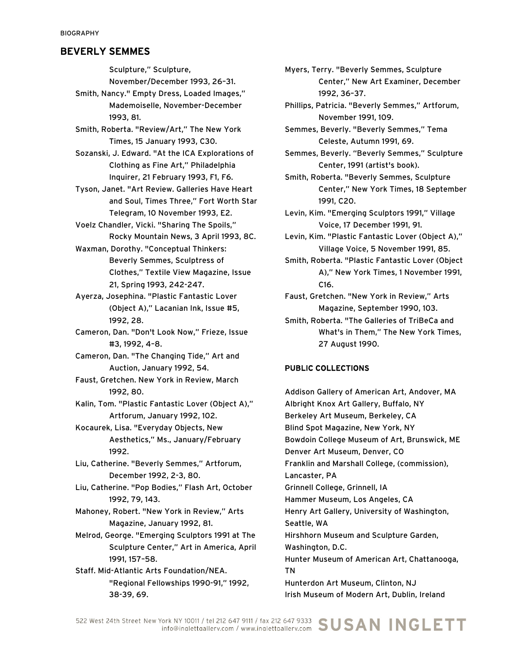Sculpture," Sculpture,

November/December 1993, 26–31.

Smith, Nancy." Empty Dress, Loaded Images," Mademoiselle, November-December 1993, 81.

Smith, Roberta. "Review/Art," The New York Times, 15 January 1993, C30.

Sozanski, J. Edward. "At the ICA Explorations of Clothing as Fine Art," Philadelphia Inquirer, 21 February 1993, F1, F6.

Tyson, Janet. "Art Review. Galleries Have Heart and Soul, Times Three," Fort Worth Star Telegram, 10 November 1993, E2.

Voelz Chandler, Vicki. "Sharing The Spoils," Rocky Mountain News, 3 April 1993, 8C.

Waxman, Dorothy. "Conceptual Thinkers: Beverly Semmes, Sculptress of Clothes," Textile View Magazine, Issue 21, Spring 1993, 242-247.

Ayerza, Josephina. "Plastic Fantastic Lover (Object A)," Lacanian Ink, Issue #5, 1992, 28.

Cameron, Dan. "Don't Look Now," Frieze, Issue #3, 1992, 4–8.

Cameron, Dan. "The Changing Tide," Art and Auction, January 1992, 54.

Faust, Gretchen. New York in Review, March 1992, 80.

Kalin, Tom. "Plastic Fantastic Lover (Object A)," Artforum, January 1992, 102.

Kocaurek, Lisa. "Everyday Objects, New Aesthetics," Ms., January/February 1992.

Liu, Catherine. "Beverly Semmes," Artforum, December 1992, 2-3, 80.

Liu, Catherine. "Pop Bodies," Flash Art, October 1992, 79, 143.

Mahoney, Robert. "New York in Review," Arts Magazine, January 1992, 81.

Melrod, George. "Emerging Sculptors 1991 at The Sculpture Center," Art in America, April 1991, 157–58.

Staff. Mid-Atlantic Arts Foundation/NEA. "Regional Fellowships 1990-91," 1992, 38-39, 69.

Myers, Terry. "Beverly Semmes, Sculpture Center," New Art Examiner, December 1992, 36–37.

Phillips, Patricia. "Beverly Semmes," Artforum, November 1991, 109.

Semmes, Beverly. "Beverly Semmes," Tema Celeste, Autumn 1991, 69.

Semmes, Beverly. "Beverly Semmes," Sculpture Center, 1991 (artist's book).

Smith, Roberta. "Beverly Semmes, Sculpture Center," New York Times, 18 September 1991, C20.

Levin, Kim. "Emerging Sculptors 1991," Village Voice, 17 December 1991, 91.

Levin, Kim. "Plastic Fantastic Lover (Object A)," Village Voice, 5 November 1991, 85.

Smith, Roberta. "Plastic Fantastic Lover (Object A)," New York Times, 1 November 1991, C16.

Faust, Gretchen. "New York in Review," Arts Magazine, September 1990, 103.

Smith, Roberta. "The Galleries of TriBeCa and What's in Them," The New York Times, 27 August 1990.

#### PUBLIC COLLECTIONS

Addison Gallery of American Art, Andover, MA Albright Knox Art Gallery, Buffalo, NY Berkeley Art Museum, Berkeley, CA Blind Spot Magazine, New York, NY Bowdoin College Museum of Art, Brunswick, ME Denver Art Museum, Denver, CO Franklin and Marshall College, (commission), Lancaster, PA Grinnell College, Grinnell, IA Hammer Museum, Los Angeles, CA Henry Art Gallery, University of Washington, Seattle, WA Hirshhorn Museum and Sculpture Garden, Washington, D.C. Hunter Museum of American Art, Chattanooga, TN Hunterdon Art Museum, Clinton, NJ Irish Museum of Modern Art, Dublin, Ireland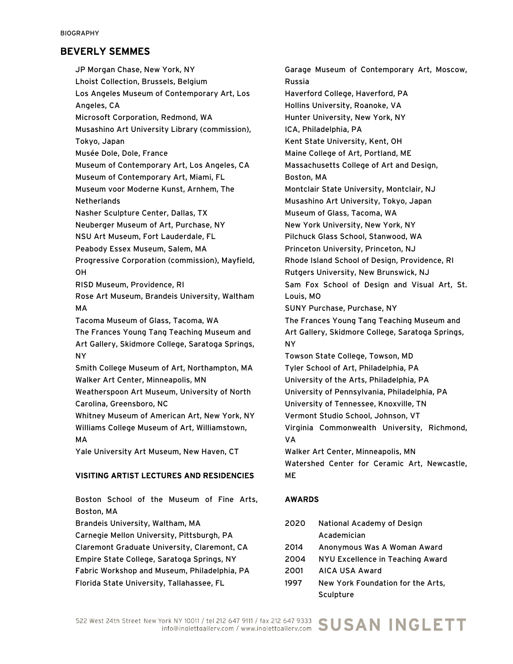JP Morgan Chase, New York, NY Lhoist Collection, Brussels, Belgium Los Angeles Museum of Contemporary Art, Los Angeles, CA Microsoft Corporation, Redmond, WA Musashino Art University Library (commission), Tokyo, Japan Musée Dole, Dole, France Museum of Contemporary Art, Los Angeles, CA Museum of Contemporary Art, Miami, FL Museum voor Moderne Kunst, Arnhem, The Netherlands Nasher Sculpture Center, Dallas, TX Neuberger Museum of Art, Purchase, NY NSU Art Museum, Fort Lauderdale, FL Peabody Essex Museum, Salem, MA Progressive Corporation (commission), Mayfield, OH RISD Museum, Providence, RI Rose Art Museum, Brandeis University, Waltham MA Tacoma Museum of Glass, Tacoma, WA The Frances Young Tang Teaching Museum and Art Gallery, Skidmore College, Saratoga Springs, NY Smith College Museum of Art, Northampton, MA Walker Art Center, Minneapolis, MN Weatherspoon Art Museum, University of North Carolina, Greensboro, NC Whitney Museum of American Art, New York, NY Williams College Museum of Art, Williamstown, MA Yale University Art Museum, New Haven, CT

#### VISITING ARTIST LECTURES AND RESIDENCIES

Boston School of the Museum of Fine Arts, Boston, MA

Brandeis University, Waltham, MA

Carnegie Mellon University, Pittsburgh, PA

Claremont Graduate University, Claremont, CA

Empire State College, Saratoga Springs, NY

Florida State University, Tallahassee, FL

Fabric Workshop and Museum, Philadelphia, PA

Garage Museum of Contemporary Art, Moscow, Russia Haverford College, Haverford, PA Hollins University, Roanoke, VA Hunter University, New York, NY ICA, Philadelphia, PA Kent State University, Kent, OH Maine College of Art, Portland, ME Massachusetts College of Art and Design, Boston, MA Montclair State University, Montclair, NJ Musashino Art University, Tokyo, Japan Museum of Glass, Tacoma, WA New York University, New York, NY Pilchuck Glass School, Stanwood, WA Princeton University, Princeton, NJ Rhode Island School of Design, Providence, RI Rutgers University, New Brunswick, NJ Sam Fox School of Design and Visual Art, St. Louis, MO SUNY Purchase, Purchase, NY The Frances Young Tang Teaching Museum and Art Gallery, Skidmore College, Saratoga Springs, NY Towson State College, Towson, MD Tyler School of Art, Philadelphia, PA University of the Arts, Philadelphia, PA University of Pennsylvania, Philadelphia, PA University of Tennessee, Knoxville, TN Vermont Studio School, Johnson, VT Virginia Commonwealth University, Richmond, VA Walker Art Center, Minneapolis, MN Watershed Center for Ceramic Art, Newcastle, ME

# AWARDS

| 2020 | National Academy of Design        |
|------|-----------------------------------|
|      | Academician                       |
| 2014 | Anonymous Was A Woman Award       |
| 2004 | NYU Excellence in Teaching Award  |
| 2001 | AICA USA Award                    |
| 1997 | New York Foundation for the Arts, |
|      | Sculpture                         |